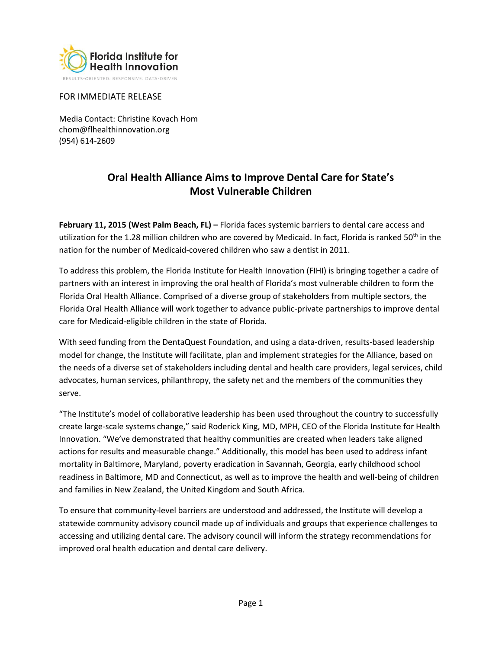

### FOR IMMEDIATE RELEASE

Media Contact: Christine Kovach Hom chom@flhealthinnovation.org (954) 614-2609

# **Oral Health Alliance Aims to Improve Dental Care for State's Most Vulnerable Children**

**February 11, 2015 (West Palm Beach, FL) –** Florida faces systemic barriers to dental care access and utilization for the 1.28 million children who are covered by Medicaid. In fact, Florida is ranked 50<sup>th</sup> in the nation for the number of Medicaid-covered children who saw a dentist in 2011.

To address this problem, the Florida Institute for Health Innovation (FIHI) is bringing together a cadre of partners with an interest in improving the oral health of Florida's most vulnerable children to form the Florida Oral Health Alliance. Comprised of a diverse group of stakeholders from multiple sectors, the Florida Oral Health Alliance will work together to advance public-private partnerships to improve dental care for Medicaid-eligible children in the state of Florida.

With seed funding from the DentaQuest Foundation, and using a data-driven, results-based leadership model for change, the Institute will facilitate, plan and implement strategies for the Alliance, based on the needs of a diverse set of stakeholders including dental and health care providers, legal services, child advocates, human services, philanthropy, the safety net and the members of the communities they serve.

"The Institute's model of collaborative leadership has been used throughout the country to successfully create large-scale systems change," said Roderick King, MD, MPH, CEO of the Florida Institute for Health Innovation. "We've demonstrated that healthy communities are created when leaders take aligned actions for results and measurable change." Additionally, this model has been used to address infant mortality in Baltimore, Maryland, poverty eradication in Savannah, Georgia, early childhood school readiness in Baltimore, MD and Connecticut, as well as to improve the health and well-being of children and families in New Zealand, the United Kingdom and South Africa.

To ensure that community-level barriers are understood and addressed, the Institute will develop a statewide community advisory council made up of individuals and groups that experience challenges to accessing and utilizing dental care. The advisory council will inform the strategy recommendations for improved oral health education and dental care delivery.